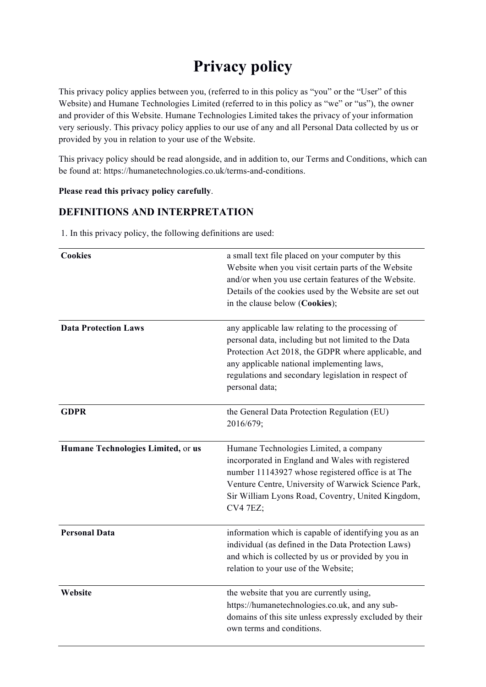# **Privacy policy**

This privacy policy applies between you, (referred to in this policy as "you" or the "User" of this Website) and Humane Technologies Limited (referred to in this policy as "we" or "us"), the owner and provider of this Website. Humane Technologies Limited takes the privacy of your information very seriously. This privacy policy applies to our use of any and all Personal Data collected by us or provided by you in relation to your use of the Website.

This privacy policy should be read alongside, and in addition to, our Terms and Conditions, which can be found at: https://humanetechnologies.co.uk/terms-and-conditions.

#### **Please read this privacy policy carefully**.

## **DEFINITIONS AND INTERPRETATION**

| <b>Cookies</b>                     | a small text file placed on your computer by this<br>Website when you visit certain parts of the Website<br>and/or when you use certain features of the Website.<br>Details of the cookies used by the Website are set out<br>in the clause below (Cookies);                           |
|------------------------------------|----------------------------------------------------------------------------------------------------------------------------------------------------------------------------------------------------------------------------------------------------------------------------------------|
| <b>Data Protection Laws</b>        | any applicable law relating to the processing of<br>personal data, including but not limited to the Data<br>Protection Act 2018, the GDPR where applicable, and<br>any applicable national implementing laws,<br>regulations and secondary legislation in respect of<br>personal data; |
| <b>GDPR</b>                        | the General Data Protection Regulation (EU)<br>2016/679;                                                                                                                                                                                                                               |
| Humane Technologies Limited, or us | Humane Technologies Limited, a company<br>incorporated in England and Wales with registered<br>number 11143927 whose registered office is at The<br>Venture Centre, University of Warwick Science Park,<br>Sir William Lyons Road, Coventry, United Kingdom,<br><b>CV4 7EZ;</b>        |
| <b>Personal Data</b>               | information which is capable of identifying you as an<br>individual (as defined in the Data Protection Laws)<br>and which is collected by us or provided by you in<br>relation to your use of the Website;                                                                             |
| Website                            | the website that you are currently using,<br>https://humanetechnologies.co.uk, and any sub-<br>domains of this site unless expressly excluded by their<br>own terms and conditions.                                                                                                    |

1. In this privacy policy, the following definitions are used: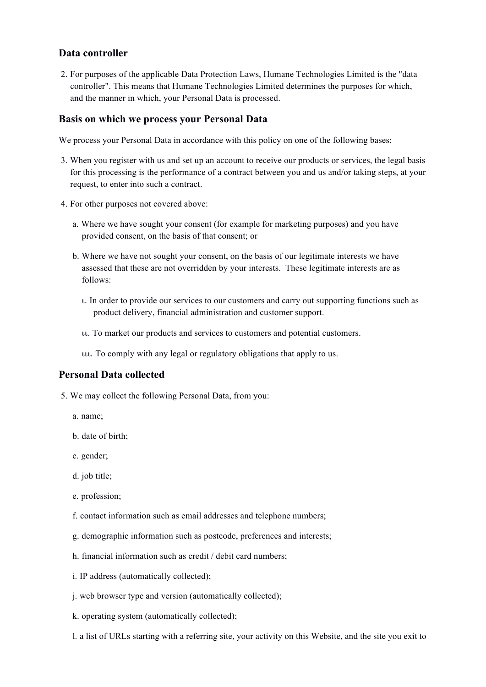### **Data controller**

2. For purposes of the applicable Data Protection Laws, Humane Technologies Limited is the "data controller". This means that Humane Technologies Limited determines the purposes for which, and the manner in which, your Personal Data is processed.

#### **Basis on which we process your Personal Data**

We process your Personal Data in accordance with this policy on one of the following bases:

- 3. When you register with us and set up an account to receive our products or services, the legal basis for this processing is the performance of a contract between you and us and/or taking steps, at your request, to enter into such a contract.
- 4. For other purposes not covered above:
	- a. Where we have sought your consent (for example for marketing purposes) and you have provided consent, on the basis of that consent; or
	- b. Where we have not sought your consent, on the basis of our legitimate interests we have assessed that these are not overridden by your interests. These legitimate interests are as follows:
		- ι. In order to provide our services to our customers and carry out supporting functions such as product delivery, financial administration and customer support.
		- ιι. To market our products and services to customers and potential customers.
		- ιιι. To comply with any legal or regulatory obligations that apply to us.

### **Personal Data collected**

- 5. We may collect the following Personal Data, from you:
	- a. name;
	- b. date of birth;
	- c. gender;
	- d. job title;
	- e. profession;
	- f. contact information such as email addresses and telephone numbers;
	- g. demographic information such as postcode, preferences and interests;
	- h. financial information such as credit / debit card numbers;
	- i. IP address (automatically collected);
	- j. web browser type and version (automatically collected);
	- k. operating system (automatically collected);
	- l. a list of URLs starting with a referring site, your activity on this Website, and the site you exit to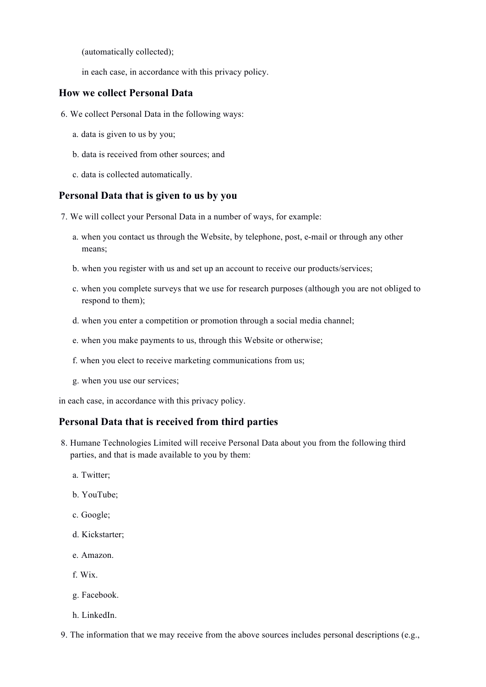(automatically collected);

in each case, in accordance with this privacy policy.

### **How we collect Personal Data**

- 6. We collect Personal Data in the following ways:
	- a. data is given to us by you;
	- b. data is received from other sources; and
	- c. data is collected automatically.

#### **Personal Data that is given to us by you**

7. We will collect your Personal Data in a number of ways, for example:

- a. when you contact us through the Website, by telephone, post, e-mail or through any other means;
- b. when you register with us and set up an account to receive our products/services;
- c. when you complete surveys that we use for research purposes (although you are not obliged to respond to them);
- d. when you enter a competition or promotion through a social media channel;
- e. when you make payments to us, through this Website or otherwise;
- f. when you elect to receive marketing communications from us;
- g. when you use our services;

in each case, in accordance with this privacy policy.

### **Personal Data that is received from third parties**

- 8. Humane Technologies Limited will receive Personal Data about you from the following third parties, and that is made available to you by them:
	- a. Twitter;
	- b. YouTube;
	- c. Google;
	- d. Kickstarter;
	- e. Amazon.
	- f. Wix.
	- g. Facebook.
	- h. LinkedIn.
- 9. The information that we may receive from the above sources includes personal descriptions (e.g.,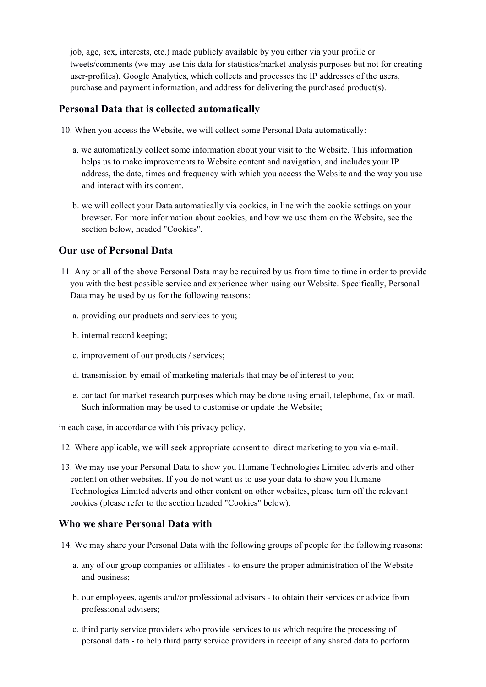job, age, sex, interests, etc.) made publicly available by you either via your profile or tweets/comments (we may use this data for statistics/market analysis purposes but not for creating user-profiles), Google Analytics, which collects and processes the IP addresses of the users, purchase and payment information, and address for delivering the purchased product(s).

#### **Personal Data that is collected automatically**

- 10. When you access the Website, we will collect some Personal Data automatically:
	- a. we automatically collect some information about your visit to the Website. This information helps us to make improvements to Website content and navigation, and includes your IP address, the date, times and frequency with which you access the Website and the way you use and interact with its content.
	- b. we will collect your Data automatically via cookies, in line with the cookie settings on your browser. For more information about cookies, and how we use them on the Website, see the section below, headed "Cookies".

### **Our use of Personal Data**

- 11. Any or all of the above Personal Data may be required by us from time to time in order to provide you with the best possible service and experience when using our Website. Specifically, Personal Data may be used by us for the following reasons:
	- a. providing our products and services to you;
	- b. internal record keeping;
	- c. improvement of our products / services;
	- d. transmission by email of marketing materials that may be of interest to you;
	- e. contact for market research purposes which may be done using email, telephone, fax or mail. Such information may be used to customise or update the Website;

in each case, in accordance with this privacy policy.

- 12. Where applicable, we will seek appropriate consent to direct marketing to you via e-mail.
- 13. We may use your Personal Data to show you Humane Technologies Limited adverts and other content on other websites. If you do not want us to use your data to show you Humane Technologies Limited adverts and other content on other websites, please turn off the relevant cookies (please refer to the section headed "Cookies" below).

### **Who we share Personal Data with**

- 14. We may share your Personal Data with the following groups of people for the following reasons:
	- a. any of our group companies or affiliates to ensure the proper administration of the Website and business;
	- b. our employees, agents and/or professional advisors to obtain their services or advice from professional advisers;
	- c. third party service providers who provide services to us which require the processing of personal data - to help third party service providers in receipt of any shared data to perform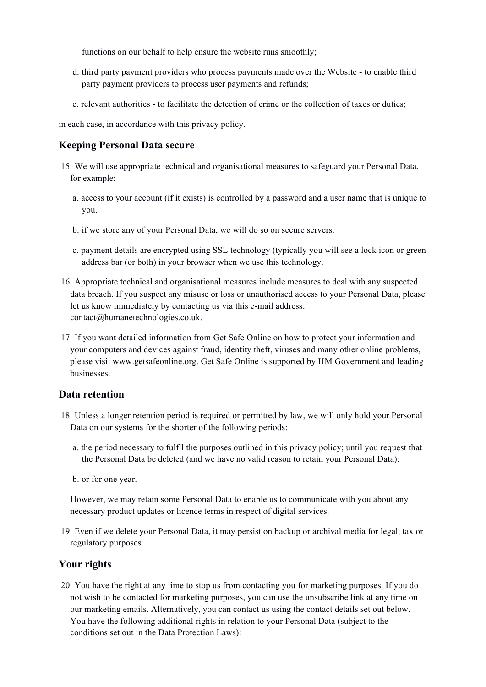functions on our behalf to help ensure the website runs smoothly;

- d. third party payment providers who process payments made over the Website to enable third party payment providers to process user payments and refunds;
- e. relevant authorities to facilitate the detection of crime or the collection of taxes or duties;

in each case, in accordance with this privacy policy.

### **Keeping Personal Data secure**

- 15. We will use appropriate technical and organisational measures to safeguard your Personal Data, for example:
	- a. access to your account (if it exists) is controlled by a password and a user name that is unique to you.
	- b. if we store any of your Personal Data, we will do so on secure servers.
	- c. payment details are encrypted using SSL technology (typically you will see a lock icon or green address bar (or both) in your browser when we use this technology.
- 16. Appropriate technical and organisational measures include measures to deal with any suspected data breach. If you suspect any misuse or loss or unauthorised access to your Personal Data, please let us know immediately by contacting us via this e-mail address: contact@humanetechnologies.co.uk.
- 17. If you want detailed information from Get Safe Online on how to protect your information and your computers and devices against fraud, identity theft, viruses and many other online problems, please visit www.getsafeonline.org. Get Safe Online is supported by HM Government and leading businesses.

### **Data retention**

- 18. Unless a longer retention period is required or permitted by law, we will only hold your Personal Data on our systems for the shorter of the following periods:
	- a. the period necessary to fulfil the purposes outlined in this privacy policy; until you request that the Personal Data be deleted (and we have no valid reason to retain your Personal Data);
	- b. or for one year.

However, we may retain some Personal Data to enable us to communicate with you about any necessary product updates or licence terms in respect of digital services.

19. Even if we delete your Personal Data, it may persist on backup or archival media for legal, tax or regulatory purposes.

### **Your rights**

20. You have the right at any time to stop us from contacting you for marketing purposes. If you do not wish to be contacted for marketing purposes, you can use the unsubscribe link at any time on our marketing emails. Alternatively, you can contact us using the contact details set out below. You have the following additional rights in relation to your Personal Data (subject to the conditions set out in the Data Protection Laws):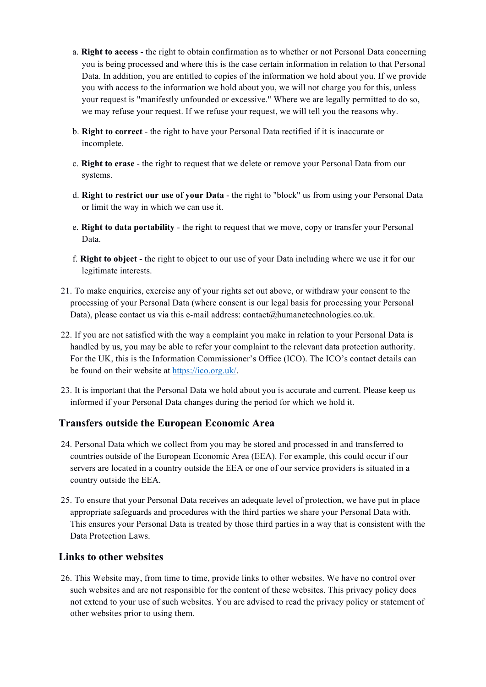- a. **Right to access** the right to obtain confirmation as to whether or not Personal Data concerning you is being processed and where this is the case certain information in relation to that Personal Data. In addition, you are entitled to copies of the information we hold about you. If we provide you with access to the information we hold about you, we will not charge you for this, unless your request is "manifestly unfounded or excessive." Where we are legally permitted to do so, we may refuse your request. If we refuse your request, we will tell you the reasons why.
- b. **Right to correct** the right to have your Personal Data rectified if it is inaccurate or incomplete.
- c. **Right to erase** the right to request that we delete or remove your Personal Data from our systems.
- d. **Right to restrict our use of your Data** the right to "block" us from using your Personal Data or limit the way in which we can use it.
- e. **Right to data portability** the right to request that we move, copy or transfer your Personal Data.
- f. **Right to object** the right to object to our use of your Data including where we use it for our legitimate interests.
- 21. To make enquiries, exercise any of your rights set out above, or withdraw your consent to the processing of your Personal Data (where consent is our legal basis for processing your Personal Data), please contact us via this e-mail address: contact@humanetechnologies.co.uk.
- 22. If you are not satisfied with the way a complaint you make in relation to your Personal Data is handled by us, you may be able to refer your complaint to the relevant data protection authority. For the UK, this is the Information Commissioner's Office (ICO). The ICO's contact details can be found on their website at https://ico.org.uk/.
- 23. It is important that the Personal Data we hold about you is accurate and current. Please keep us informed if your Personal Data changes during the period for which we hold it.

### **Transfers outside the European Economic Area**

- 24. Personal Data which we collect from you may be stored and processed in and transferred to countries outside of the European Economic Area (EEA). For example, this could occur if our servers are located in a country outside the EEA or one of our service providers is situated in a country outside the EEA.
- 25. To ensure that your Personal Data receives an adequate level of protection, we have put in place appropriate safeguards and procedures with the third parties we share your Personal Data with. This ensures your Personal Data is treated by those third parties in a way that is consistent with the Data Protection Laws.

### **Links to other websites**

26. This Website may, from time to time, provide links to other websites. We have no control over such websites and are not responsible for the content of these websites. This privacy policy does not extend to your use of such websites. You are advised to read the privacy policy or statement of other websites prior to using them.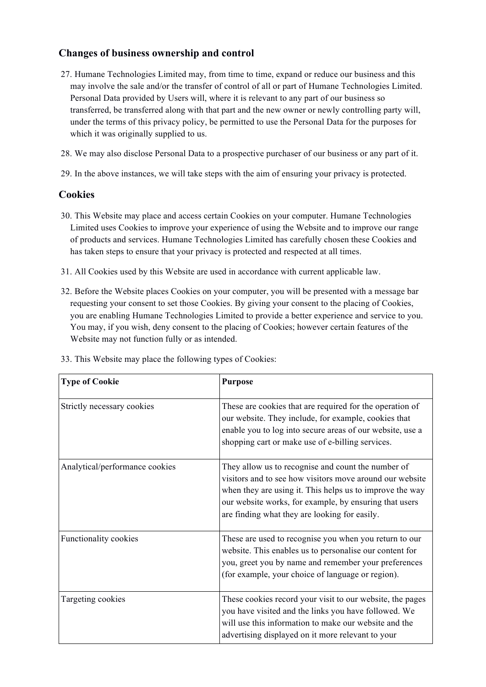## **Changes of business ownership and control**

- 27. Humane Technologies Limited may, from time to time, expand or reduce our business and this may involve the sale and/or the transfer of control of all or part of Humane Technologies Limited. Personal Data provided by Users will, where it is relevant to any part of our business so transferred, be transferred along with that part and the new owner or newly controlling party will, under the terms of this privacy policy, be permitted to use the Personal Data for the purposes for which it was originally supplied to us.
- 28. We may also disclose Personal Data to a prospective purchaser of our business or any part of it.
- 29. In the above instances, we will take steps with the aim of ensuring your privacy is protected.

## **Cookies**

- 30. This Website may place and access certain Cookies on your computer. Humane Technologies Limited uses Cookies to improve your experience of using the Website and to improve our range of products and services. Humane Technologies Limited has carefully chosen these Cookies and has taken steps to ensure that your privacy is protected and respected at all times.
- 31. All Cookies used by this Website are used in accordance with current applicable law.
- 32. Before the Website places Cookies on your computer, you will be presented with a message bar requesting your consent to set those Cookies. By giving your consent to the placing of Cookies, you are enabling Humane Technologies Limited to provide a better experience and service to you. You may, if you wish, deny consent to the placing of Cookies; however certain features of the Website may not function fully or as intended.

| <b>Type of Cookie</b>          | <b>Purpose</b>                                                                                                                                                                                                                                                                        |
|--------------------------------|---------------------------------------------------------------------------------------------------------------------------------------------------------------------------------------------------------------------------------------------------------------------------------------|
| Strictly necessary cookies     | These are cookies that are required for the operation of<br>our website. They include, for example, cookies that<br>enable you to log into secure areas of our website, use a<br>shopping cart or make use of e-billing services.                                                     |
| Analytical/performance cookies | They allow us to recognise and count the number of<br>visitors and to see how visitors move around our website<br>when they are using it. This helps us to improve the way<br>our website works, for example, by ensuring that users<br>are finding what they are looking for easily. |
| Functionality cookies          | These are used to recognise you when you return to our<br>website. This enables us to personalise our content for<br>you, greet you by name and remember your preferences<br>(for example, your choice of language or region).                                                        |
| Targeting cookies              | These cookies record your visit to our website, the pages<br>you have visited and the links you have followed. We<br>will use this information to make our website and the<br>advertising displayed on it more relevant to your                                                       |

33. This Website may place the following types of Cookies: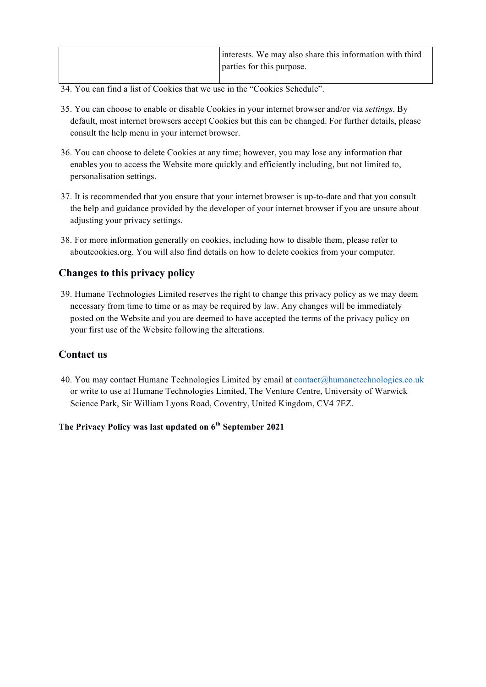| interests. We may also share this information with third |
|----------------------------------------------------------|
| parties for this purpose.                                |
|                                                          |

- 34. You can find a list of Cookies that we use in the "Cookies Schedule".
- 35. You can choose to enable or disable Cookies in your internet browser and/or via *settings*. By default, most internet browsers accept Cookies but this can be changed. For further details, please consult the help menu in your internet browser.
- 36. You can choose to delete Cookies at any time; however, you may lose any information that enables you to access the Website more quickly and efficiently including, but not limited to, personalisation settings.
- 37. It is recommended that you ensure that your internet browser is up-to-date and that you consult the help and guidance provided by the developer of your internet browser if you are unsure about adjusting your privacy settings.
- 38. For more information generally on cookies, including how to disable them, please refer to aboutcookies.org. You will also find details on how to delete cookies from your computer.

## **Changes to this privacy policy**

39. Humane Technologies Limited reserves the right to change this privacy policy as we may deem necessary from time to time or as may be required by law. Any changes will be immediately posted on the Website and you are deemed to have accepted the terms of the privacy policy on your first use of the Website following the alterations.

## **Contact us**

40. You may contact Humane Technologies Limited by email at contact@humanetechnologies.co.uk or write to use at Humane Technologies Limited, The Venture Centre, University of Warwick Science Park, Sir William Lyons Road, Coventry, United Kingdom, CV4 7EZ.

## **The Privacy Policy was last updated on 6th September 2021**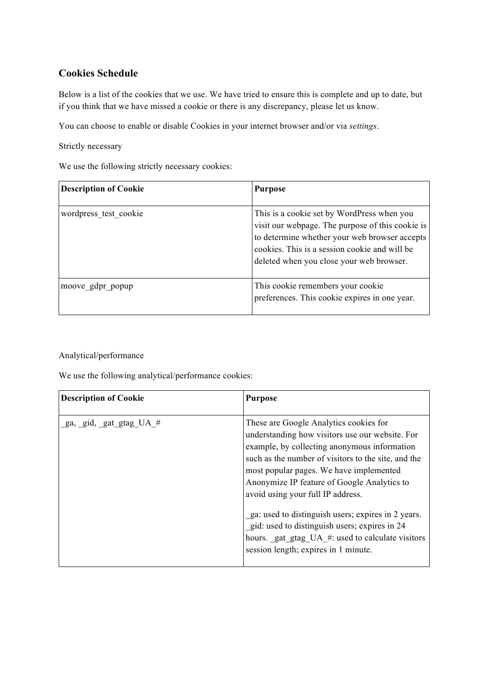# **Cookies Schedule**

Below is a list of the cookies that we use. We have tried to ensure this is complete and up to date, but if you think that we have missed a cookie or there is any discrepancy, please let us know.

You can choose to enable or disable Cookies in your internet browser and/or via *settings*.

Strictly necessary

We use the following strictly necessary cookies:

| <b>Description of Cookie</b> | <b>Purpose</b>                                                                                                                                                                                                                               |
|------------------------------|----------------------------------------------------------------------------------------------------------------------------------------------------------------------------------------------------------------------------------------------|
| wordpress test cookie        | This is a cookie set by WordPress when you<br>visit our webpage. The purpose of this cookie is<br>to determine whether your web browser accepts<br>cookies. This is a session cookie and will be<br>deleted when you close your web browser. |
| moove gdpr popup             | This cookie remembers your cookie<br>preferences. This cookie expires in one year.                                                                                                                                                           |

#### Analytical/performance

We use the following analytical/performance cookies:

| <b>Description of Cookie</b> | <b>Purpose</b>                                                                                                                                                                                                                                                                                                                  |
|------------------------------|---------------------------------------------------------------------------------------------------------------------------------------------------------------------------------------------------------------------------------------------------------------------------------------------------------------------------------|
| ga, gid, gat gtag UA #       | These are Google Analytics cookies for<br>understanding how visitors use our website. For<br>example, by collecting anonymous information<br>such as the number of visitors to the site, and the<br>most popular pages. We have implemented<br>Anonymize IP feature of Google Analytics to<br>avoid using your full IP address. |
|                              | ga: used to distinguish users; expires in 2 years.<br>gid: used to distinguish users; expires in 24<br>hours. gat_gtag_UA_#: used to calculate visitors<br>session length; expires in 1 minute.                                                                                                                                 |